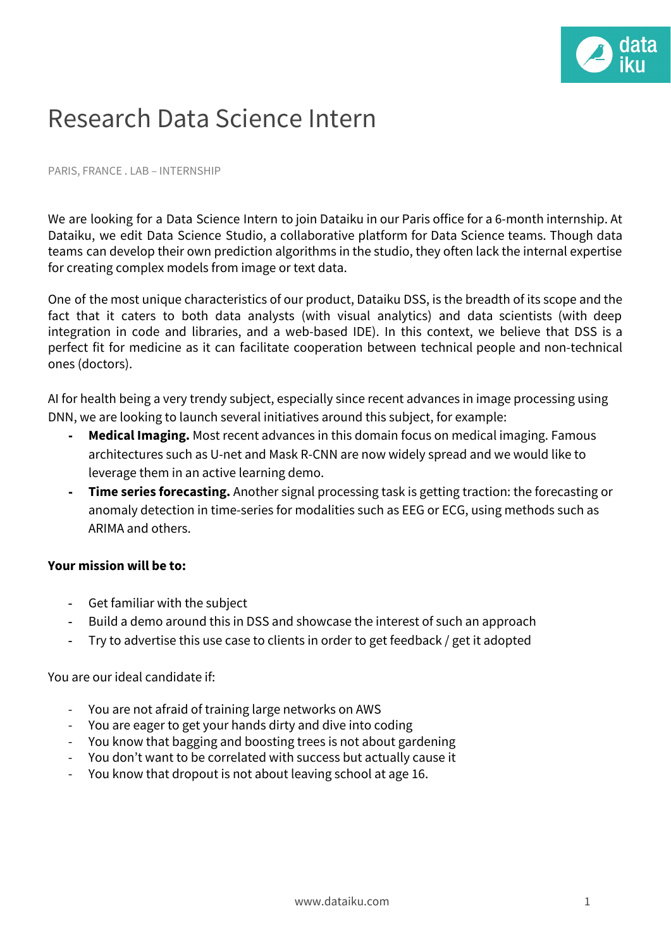

## Research Data Science Intern

PARIS, FRANCE . LAB – INTERNSHIP

We are looking for a Data Science Intern to join Dataiku in our Paris office for a 6-month internship. At Dataiku, we edit Data Science Studio, a collaborative platform for Data Science teams. Though data teams can develop their own prediction algorithms in the studio, they often lack the internal expertise for creating complex models from image or text data.

One of the most unique characteristics of our product, Dataiku DSS, is the breadth of its scope and the fact that it caters to both data analysts (with visual analytics) and data scientists (with deep integration in code and libraries, and a web-based IDE). In this context, we believe that DSS is a perfect fit for medicine as it can facilitate cooperation between technical people and non-technical ones (doctors).

AI for health being a very trendy subject, especially since recent advances in image processing using DNN, we are looking to launch several initiatives around this subject, for example:

- **- Medical Imaging.** Most recent advances in this domain focus on medical imaging. Famous architectures such as U-net and Mask R-CNN are now widely spread and we would like to leverage them in an active learning demo.
- **- Time series forecasting.** Another signal processing task is getting traction: the forecasting or anomaly detection in time-series for modalities such as EEG or ECG, using methods such as ARIMA and others.

## **Your mission will be to:**

- Get familiar with the subject
- Build a demo around this in DSS and showcase the interest of such an approach
- Try to advertise this use case to clients in order to get feedback / get it adopted

You are our ideal candidate if:

- You are not afraid of training large networks on AWS
- You are eager to get your hands dirty and dive into coding
- You know that bagging and boosting trees is not about gardening
- You don't want to be correlated with success but actually cause it
- You know that dropout is not about leaving school at age 16.